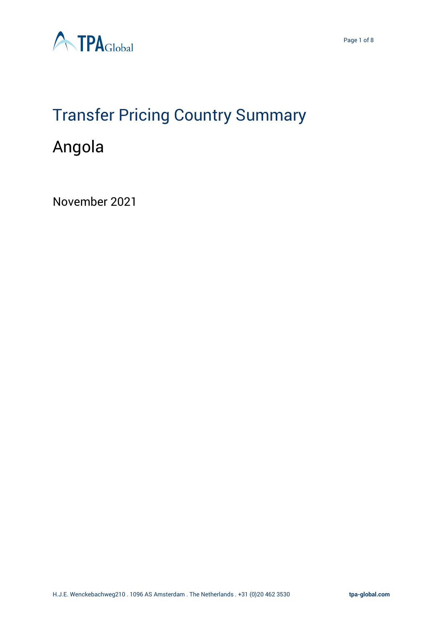

# Transfer Pricing Country Summary

# Angola

November 2021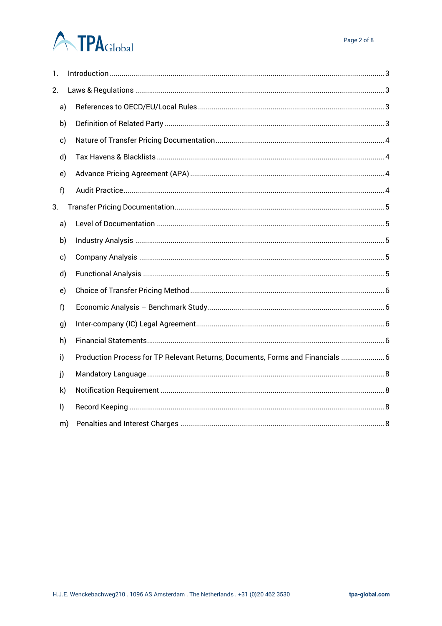# **ATPA**Global

| 1.           |                                                                                |  |
|--------------|--------------------------------------------------------------------------------|--|
| 2.           |                                                                                |  |
| a)           |                                                                                |  |
| b)           |                                                                                |  |
| c)           |                                                                                |  |
| d)           |                                                                                |  |
| e)           |                                                                                |  |
| f)           |                                                                                |  |
| 3.           |                                                                                |  |
| a)           |                                                                                |  |
| b)           |                                                                                |  |
| c)           |                                                                                |  |
| d)           |                                                                                |  |
| e)           |                                                                                |  |
| f            |                                                                                |  |
| g)           |                                                                                |  |
| h)           |                                                                                |  |
| i)           | Production Process for TP Relevant Returns, Documents, Forms and Financials  6 |  |
| j)           |                                                                                |  |
| k)           |                                                                                |  |
| $\mathsf{I}$ |                                                                                |  |
| m)           |                                                                                |  |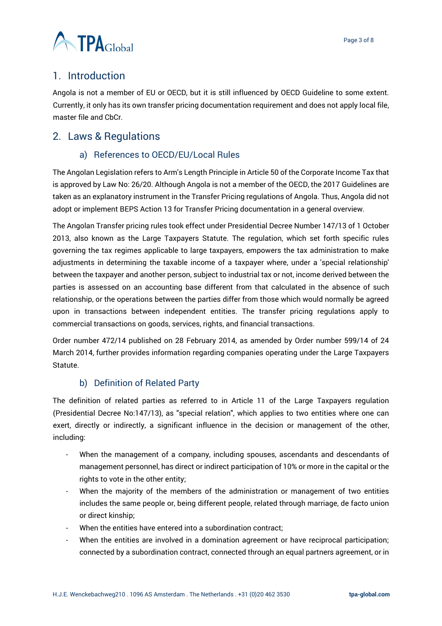

# <span id="page-2-0"></span>1. Introduction

Angola is not a member of EU or OECD, but it is still influenced by OECD Guideline to some extent. Currently, it only has its own transfer pricing documentation requirement and does not apply local file, master file and CbCr.

# <span id="page-2-2"></span><span id="page-2-1"></span>2. Laws & Regulations

## a) References to OECD/EU/Local Rules

The Angolan Legislation refers to Arm's Length Principle in Article 50 of the Corporate Income Tax that is approved by Law No: 26/20. Although Angola is not a member of the OECD, the 2017 Guidelines are taken as an explanatory instrument in the Transfer Pricing regulations of Angola. Thus, Angola did not adopt or implement BEPS Action 13 for Transfer Pricing documentation in a general overview.

The Angolan Transfer pricing rules took effect under Presidential Decree Number 147/13 of 1 October 2013, also known as the Large Taxpayers Statute. The regulation, which set forth specific rules governing the tax regimes applicable to large taxpayers, empowers the tax administration to make adjustments in determining the taxable income of a taxpayer where, under a 'special relationship' between the taxpayer and another person, subject to industrial tax or not, income derived between the parties is assessed on an accounting base different from that calculated in the absence of such relationship, or the operations between the parties differ from those which would normally be agreed upon in transactions between independent entities. The transfer pricing regulations apply to commercial transactions on goods, services, rights, and financial transactions.

Order number 472/14 published on 28 February 2014, as amended by Order number 599/14 of 24 March 2014, further provides information regarding companies operating under the Large Taxpayers Statute.

# b) Definition of Related Party

<span id="page-2-3"></span>The definition of related parties as referred to in Article 11 of the Large Taxpayers regulation (Presidential Decree No:147/13), as "special relation", which applies to two entities where one can exert, directly or indirectly, a significant influence in the decision or management of the other, including:

- When the management of a company, including spouses, ascendants and descendants of management personnel, has direct or indirect participation of 10% or more in the capital or the rights to vote in the other entity;
- When the majority of the members of the administration or management of two entities includes the same people or, being different people, related through marriage, de facto union or direct kinship;
- When the entities have entered into a subordination contract;
- When the entities are involved in a domination agreement or have reciprocal participation; connected by a subordination contract, connected through an equal partners agreement, or in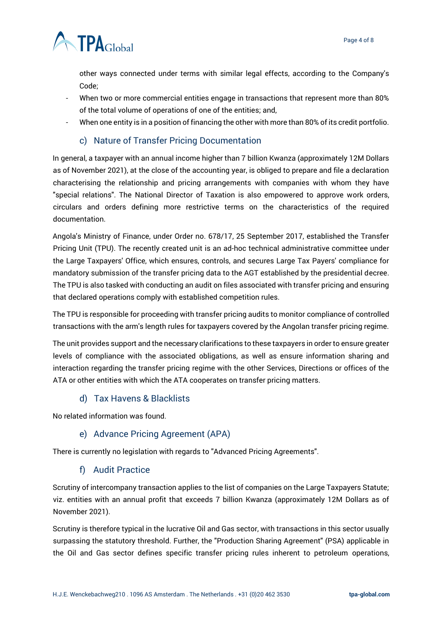

other ways connected under terms with similar legal effects, according to the Company's Code;

- When two or more commercial entities engage in transactions that represent more than 80% of the total volume of operations of one of the entities; and,
- When one entity is in a position of financing the other with more than 80% of its credit portfolio.

#### c) Nature of Transfer Pricing Documentation

<span id="page-3-0"></span>In general, a taxpayer with an annual income higher than 7 billion Kwanza (approximately 12M Dollars as of November 2021), at the close of the accounting year, is obliged to prepare and file a declaration characterising the relationship and pricing arrangements with companies with whom they have "special relations". The National Director of Taxation is also empowered to approve work orders, circulars and orders defining more restrictive terms on the characteristics of the required documentation.

Angola's Ministry of Finance, under Order no. 678/17, 25 September 2017, established the Transfer Pricing Unit (TPU). The recently created unit is an ad-hoc technical administrative committee under the Large Taxpayers' Office, which ensures, controls, and secures Large Tax Payers' compliance for mandatory submission of the transfer pricing data to the AGT established by the presidential decree. The TPU is also tasked with conducting an audit on files associated with transfer pricing and ensuring that declared operations comply with established competition rules.

The TPU is responsible for proceeding with transfer pricing audits to monitor compliance of controlled transactions with the arm's length rules for taxpayers covered by the Angolan transfer pricing regime.

The unit provides support and the necessary clarifications to these taxpayers in order to ensure greater levels of compliance with the associated obligations, as well as ensure information sharing and interaction regarding the transfer pricing regime with the other Services, Directions or offices of the ATA or other entities with which the ATA cooperates on transfer pricing matters.

#### d) Tax Havens & Blacklists

<span id="page-3-2"></span><span id="page-3-1"></span>No related information was found.

#### e) Advance Pricing Agreement (APA)

<span id="page-3-3"></span>There is currently no legislation with regards to "Advanced Pricing Agreements".

#### f) Audit Practice

Scrutiny of intercompany transaction applies to the list of companies on the Large Taxpayers Statute; viz. entities with an annual profit that exceeds 7 billion Kwanza (approximately 12M Dollars as of November 2021).

Scrutiny is therefore typical in the lucrative Oil and Gas sector, with transactions in this sector usually surpassing the statutory threshold. Further, the "Production Sharing Agreement" (PSA) applicable in the Oil and Gas sector defines specific transfer pricing rules inherent to petroleum operations,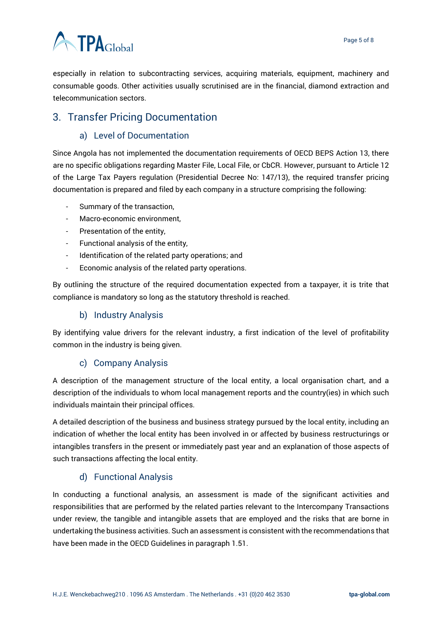# **ATPA**Global

especially in relation to subcontracting services, acquiring materials, equipment, machinery and consumable goods. Other activities usually scrutinised are in the financial, diamond extraction and telecommunication sectors.

# <span id="page-4-1"></span><span id="page-4-0"></span>3. Transfer Pricing Documentation

## a) Level of Documentation

Since Angola has not implemented the documentation requirements of OECD BEPS Action 13, there are no specific obligations regarding Master File, Local File, or CbCR. However, pursuant to Article 12 of the Large Tax Payers regulation (Presidential Decree No: 147/13), the required transfer pricing documentation is prepared and filed by each company in a structure comprising the following:

- Summary of the transaction,
- Macro-economic environment,
- Presentation of the entity,
- Functional analysis of the entity,
- Identification of the related party operations; and
- Economic analysis of the related party operations.

By outlining the structure of the required documentation expected from a taxpayer, it is trite that compliance is mandatory so long as the statutory threshold is reached.

#### b) Industry Analysis

<span id="page-4-2"></span>By identifying value drivers for the relevant industry, a first indication of the level of profitability common in the industry is being given.

#### c) Company Analysis

<span id="page-4-3"></span>A description of the management structure of the local entity, a local organisation chart, and a description of the individuals to whom local management reports and the country(ies) in which such individuals maintain their principal offices.

A detailed description of the business and business strategy pursued by the local entity, including an indication of whether the local entity has been involved in or affected by business restructurings or intangibles transfers in the present or immediately past year and an explanation of those aspects of such transactions affecting the local entity.

#### d) Functional Analysis

<span id="page-4-4"></span>In conducting a functional analysis, an assessment is made of the significant activities and responsibilities that are performed by the related parties relevant to the Intercompany Transactions under review, the tangible and intangible assets that are employed and the risks that are borne in undertaking the business activities. Such an assessment is consistent with the recommendations that have been made in the OECD Guidelines in paragraph 1.51.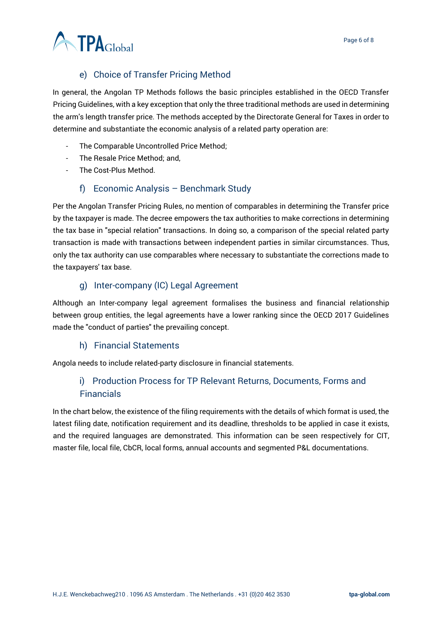

# e) Choice of Transfer Pricing Method

<span id="page-5-0"></span>In general, the Angolan TP Methods follows the basic principles established in the OECD Transfer Pricing Guidelines, with a key exception that only the three traditional methods are used in determining the arm's length transfer price. The methods accepted by the Directorate General for Taxes in order to determine and substantiate the economic analysis of a related party operation are:

- The Comparable Uncontrolled Price Method;
- The Resale Price Method; and,
- The Cost-Plus Method.

#### f) Economic Analysis – Benchmark Study

<span id="page-5-1"></span>Per the Angolan Transfer Pricing Rules, no mention of comparables in determining the Transfer price by the taxpayer is made. The decree empowers the tax authorities to make corrections in determining the tax base in "special relation" transactions. In doing so, a comparison of the special related party transaction is made with transactions between independent parties in similar circumstances. Thus, only the tax authority can use comparables where necessary to substantiate the corrections made to the taxpayers' tax base.

#### g) Inter-company (IC) Legal Agreement

<span id="page-5-2"></span>Although an Inter-company legal agreement formalises the business and financial relationship between group entities, the legal agreements have a lower ranking since the OECD 2017 Guidelines made the "conduct of parties" the prevailing concept.

#### h) Financial Statements

<span id="page-5-4"></span><span id="page-5-3"></span>Angola needs to include related-party disclosure in financial statements.

## i) Production Process for TP Relevant Returns, Documents, Forms and Financials

In the chart below, the existence of the filing requirements with the details of which format is used, the latest filing date, notification requirement and its deadline, thresholds to be applied in case it exists, and the required languages are demonstrated. This information can be seen respectively for CIT, master file, local file, CbCR, local forms, annual accounts and segmented P&L documentations.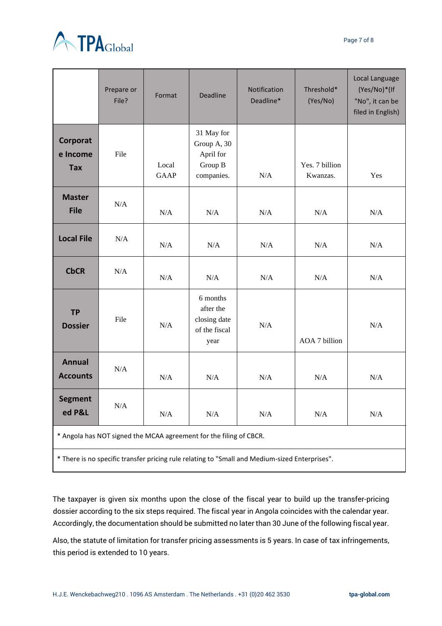

|                                                                                                | Prepare or<br>File? | Format               | <b>Deadline</b>                                                 | Notification<br>Deadline* | Threshold*<br>(Yes/No)     | Local Language<br>(Yes/No)*(If<br>"No", it can be<br>filed in English) |  |  |  |
|------------------------------------------------------------------------------------------------|---------------------|----------------------|-----------------------------------------------------------------|---------------------------|----------------------------|------------------------------------------------------------------------|--|--|--|
| Corporat<br>e Income<br><b>Tax</b>                                                             | File                | Local<br><b>GAAP</b> | 31 May for<br>Group A, 30<br>April for<br>Group B<br>companies. | N/A                       | Yes. 7 billion<br>Kwanzas. | Yes                                                                    |  |  |  |
| <b>Master</b><br><b>File</b>                                                                   | N/A                 | N/A                  | N/A                                                             | N/A                       | N/A                        | N/A                                                                    |  |  |  |
| <b>Local File</b>                                                                              | N/A                 | N/A                  | N/A                                                             | N/A                       | N/A                        | N/A                                                                    |  |  |  |
| <b>CbCR</b>                                                                                    | N/A                 | N/A                  | N/A                                                             | N/A                       | N/A                        | N/A                                                                    |  |  |  |
| <b>TP</b><br><b>Dossier</b>                                                                    | File                | N/A                  | 6 months<br>after the<br>closing date<br>of the fiscal<br>year  | N/A                       | AOA 7 billion              | N/A                                                                    |  |  |  |
| <b>Annual</b><br><b>Accounts</b>                                                               | N/A                 | N/A                  | N/A                                                             | N/A                       | N/A                        | N/A                                                                    |  |  |  |
| <b>Segment</b><br>ed P&L                                                                       | $\rm N/A$           | N/A                  | N/A                                                             | N/A                       | $\rm N/A$                  | $\rm N/A$                                                              |  |  |  |
| * Angola has NOT signed the MCAA agreement for the filing of CBCR.                             |                     |                      |                                                                 |                           |                            |                                                                        |  |  |  |
| * There is no specific transfer pricing rule relating to "Small and Medium-sized Enterprises". |                     |                      |                                                                 |                           |                            |                                                                        |  |  |  |

The taxpayer is given six months upon the close of the fiscal year to build up the transfer-pricing dossier according to the six steps required. The fiscal year in Angola coincides with the calendar year. Accordingly, the documentation should be submitted no later than 30 June of the following fiscal year.

Also, the statute of limitation for transfer pricing assessments is 5 years. In case of tax infringements, this period is extended to 10 years.